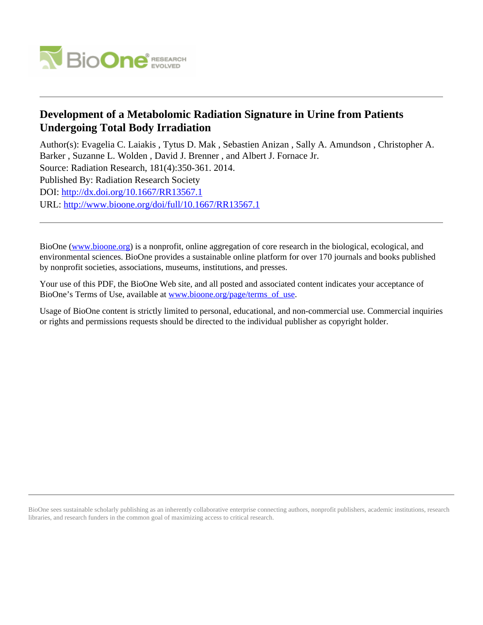

## **Development of a Metabolomic Radiation Signature in Urine from Patients Undergoing Total Body Irradiation**

Author(s): Evagelia C. Laiakis , Tytus D. Mak , Sebastien Anizan , Sally A. Amundson , Christopher A. Barker , Suzanne L. Wolden , David J. Brenner , and Albert J. Fornace Jr.

Source: Radiation Research, 181(4):350-361. 2014.

Published By: Radiation Research Society

DOI:<http://dx.doi.org/10.1667/RR13567.1>

URL: <http://www.bioone.org/doi/full/10.1667/RR13567.1>

BioOne [\(www.bioone.org\)](http://www.bioone.org) is a nonprofit, online aggregation of core research in the biological, ecological, and environmental sciences. BioOne provides a sustainable online platform for over 170 journals and books published by nonprofit societies, associations, museums, institutions, and presses.

Your use of this PDF, the BioOne Web site, and all posted and associated content indicates your acceptance of BioOne's Terms of Use, available at [www.bioone.org/page/terms\\_of\\_use.](http://www.bioone.org/page/terms_of_use)

Usage of BioOne content is strictly limited to personal, educational, and non-commercial use. Commercial inquiries or rights and permissions requests should be directed to the individual publisher as copyright holder.

BioOne sees sustainable scholarly publishing as an inherently collaborative enterprise connecting authors, nonprofit publishers, academic institutions, research libraries, and research funders in the common goal of maximizing access to critical research.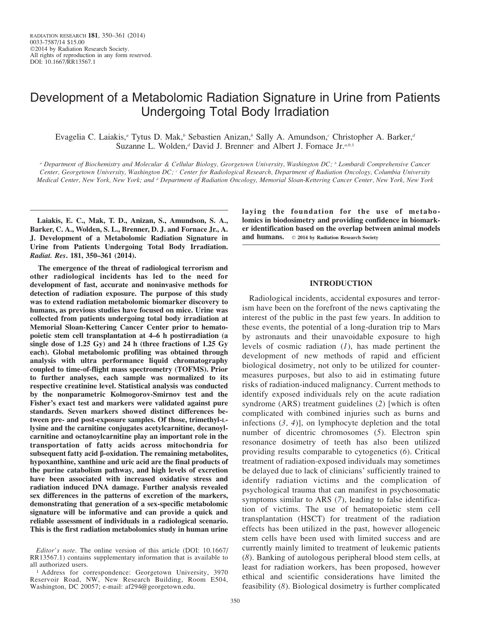# Development of a Metabolomic Radiation Signature in Urine from Patients Undergoing Total Body Irradiation

Evagelia C. Laiakis,<sup>a</sup> Tytus D. Mak,<sup>b</sup> Sebastien Anizan,<sup>b</sup> Sally A. Amundson,<sup>c</sup> Christopher A. Barker,<sup>d</sup> Suzanne L. Wolden,<sup>d</sup> David J. Brenner<sup>c</sup> and Albert J. Fornace Jr.<sup>a,b,1</sup>

<sup>a</sup> Department of Biochemistry and Molecular & Cellular Biology, Georgetown University, Washington DC; <sup>b</sup> Lombardi Comprehensive Cancer Center, Georgetown University, Washington DC; c Center for Radiological Research, Department of Radiation Oncology, Columbia University Medical Center, New York, New York; and <sup>a</sup> Department of Radiation Oncology, Memorial Sloan-Kettering Cancer Center, New York, New York

Laiakis, E. C., Mak, T. D., Anizan, S., Amundson, S. A., Barker, C. A., Wolden, S. L., Brenner, D. J. and Fornace Jr., A. J. Development of a Metabolomic Radiation Signature in Urine from Patients Undergoing Total Body Irradiation. Radiat. Res. 181, 350–361 (2014).

The emergence of the threat of radiological terrorism and other radiological incidents has led to the need for development of fast, accurate and noninvasive methods for detection of radiation exposure. The purpose of this study was to extend radiation metabolomic biomarker discovery to humans, as previous studies have focused on mice. Urine was collected from patients undergoing total body irradiation at Memorial Sloan-Kettering Cancer Center prior to hematopoietic stem cell transplantation at 4–6 h postirradiation (a single dose of 1.25 Gy) and 24 h (three fractions of 1.25 Gy each). Global metabolomic profiling was obtained through analysis with ultra performance liquid chromatography coupled to time-of-flight mass spectrometry (TOFMS). Prior to further analyses, each sample was normalized to its respective creatinine level. Statistical analysis was conducted by the nonparametric Kolmogorov-Smirnov test and the Fisher's exact test and markers were validated against pure standards. Seven markers showed distinct differences between pre- and post-exposure samples. Of those, trimethyl-Llysine and the carnitine conjugates acetylcarnitine, decanoylcarnitine and octanoylcarnitine play an important role in the transportation of fatty acids across mitochondria for subsequent fatty acid  $\beta$ -oxidation. The remaining metabolites, hypoxanthine, xanthine and uric acid are the final products of the purine catabolism pathway, and high levels of excretion have been associated with increased oxidative stress and radiation induced DNA damage. Further analysis revealed sex differences in the patterns of excretion of the markers, demonstrating that generation of a sex-specific metabolomic signature will be informative and can provide a quick and reliable assessment of individuals in a radiological scenario. This is the first radiation metabolomics study in human urine

laying the foundation for the use of metabolomics in biodosimetry and providing confidence in biomarker identification based on the overlap between animal models and humans.  $\circ$  2014 by Radiation Research Society

## INTRODUCTION

Radiological incidents, accidental exposures and terrorism have been on the forefront of the news captivating the interest of the public in the past few years. In addition to these events, the potential of a long-duration trip to Mars by astronauts and their unavoidable exposure to high levels of cosmic radiation  $(1)$ , has made pertinent the development of new methods of rapid and efficient biological dosimetry, not only to be utilized for countermeasures purposes, but also to aid in estimating future risks of radiation-induced malignancy. Current methods to identify exposed individuals rely on the acute radiation syndrome (ARS) treatment guidelines (2) [which is often complicated with combined injuries such as burns and infections  $(3, 4)$ , on lymphocyte depletion and the total number of dicentric chromosomes (5). Electron spin resonance dosimetry of teeth has also been utilized providing results comparable to cytogenetics (6). Critical treatment of radiation-exposed individuals may sometimes be delayed due to lack of clinicians' sufficiently trained to identify radiation victims and the complication of psychological trauma that can manifest in psychosomatic symptoms similar to ARS (7), leading to false identification of victims. The use of hematopoietic stem cell transplantation (HSCT) for treatment of the radiation effects has been utilized in the past, however allogeneic stem cells have been used with limited success and are currently mainly limited to treatment of leukemic patients (8). Banking of autologous peripheral blood stem cells, at least for radiation workers, has been proposed, however ethical and scientific considerations have limited the feasibility (8). Biological dosimetry is further complicated

Editor's note. The online version of this article (DOI: 10.1667/ RR13567.1) contains supplementary information that is available to all authorized users.

<sup>&</sup>lt;sup>1</sup> Address for correspondence: Georgetown University, 3970 Reservoir Road, NW, New Research Building, Room E504, Washington, DC 20057; e-mail: af294@georgetown.edu.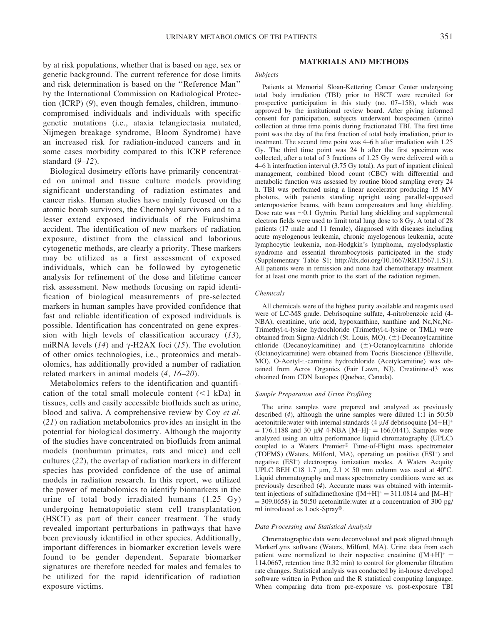by at risk populations, whether that is based on age, sex or genetic background. The current reference for dose limits and risk determination is based on the ''Reference Man'' by the International Commission on Radiological Protection (ICRP) (9), even though females, children, immunocompromised individuals and individuals with specific genetic mutations (i.e., ataxia telangiectasia mutated, Nijmegen breakage syndrome, Bloom Syndrome) have an increased risk for radiation-induced cancers and in some cases morbidity compared to this ICRP reference standard  $(9-12)$ .

Biological dosimetry efforts have primarily concentrated on animal and tissue culture models providing significant understanding of radiation estimates and cancer risks. Human studies have mainly focused on the atomic bomb survivors, the Chernobyl survivors and to a lesser extend exposed individuals of the Fukushima accident. The identification of new markers of radiation exposure, distinct from the classical and laborious cytogenetic methods, are clearly a priority. These markers may be utilized as a first assessment of exposed individuals, which can be followed by cytogenetic analysis for refinement of the dose and lifetime cancer risk assessment. New methods focusing on rapid identification of biological measurements of pre-selected markers in human samples have provided confidence that fast and reliable identification of exposed individuals is possible. Identification has concentrated on gene expression with high levels of classification accuracy  $(13)$ , miRNA levels (14) and  $\gamma$ -H2AX foci (15). The evolution of other omics technologies, i.e., proteomics and metabolomics, has additionally provided a number of radiation related markers in animal models (4, 16–20).

Metabolomics refers to the identification and quantification of the total small molecule content  $(<1$  kDa) in tissues, cells and easily accessible biofluids such as urine, blood and saliva. A comprehensive review by Coy et al. (21) on radiation metabolomics provides an insight in the potential for biological dosimetry. Although the majority of the studies have concentrated on biofluids from animal models (nonhuman primates, rats and mice) and cell cultures (22), the overlap of radiation markers in different species has provided confidence of the use of animal models in radiation research. In this report, we utilized the power of metabolomics to identify biomarkers in the urine of total body irradiated humans (1.25 Gy) undergoing hematopoietic stem cell transplantation (HSCT) as part of their cancer treatment. The study revealed important perturbations in pathways that have been previously identified in other species. Additionally, important differences in biomarker excretion levels were found to be gender dependent. Separate biomarker signatures are therefore needed for males and females to be utilized for the rapid identification of radiation exposure victims.

## MATERIALS AND METHODS

## Subjects

Patients at Memorial Sloan-Kettering Cancer Center undergoing total body irradiation (TBI) prior to HSCT were recruited for prospective participation in this study (no. 07–158), which was approved by the institutional review board. After giving informed consent for participation, subjects underwent biospecimen (urine) collection at three time points during fractionated TBI. The first time point was the day of the first fraction of total body irradiation, prior to treatment. The second time point was 4–6 h after irradiation with 1.25 Gy. The third time point was 24 h after the first specimen was collected, after a total of 3 fractions of 1.25 Gy were delivered with a 4–6 h interfraction interval (3.75 Gy total). As part of inpatient clinical management, combined blood count (CBC) with differential and metabolic function was assessed by routine blood sampling every 24 h. TBI was performed using a linear accelerator producing 15 MV photons, with patients standing upright using parallel-opposed anteroposterior beams, with beam compensators and lung shielding. Dose rate was  $\sim$  0.1 Gy/min. Partial lung shielding and supplemental electron fields were used to limit total lung dose to 8 Gy. A total of 28 patients (17 male and 11 female), diagnosed with diseases including acute myelogenous leukemia, chronic myelogenous leukemia, acute lymphocytic leukemia, non-Hodgkin's lymphoma, myelodysplastic syndrome and essential thrombocytosis participated in the study (Supplementary Table S1; http://dx.doi.org/10.1667/RR13567.1.S1). All patients were in remission and none had chemotherapy treatment for at least one month prior to the start of the radiation regimen.

#### Chemicals

All chemicals were of the highest purity available and reagents used were of LC-MS grade. Debrisoquine sulfate, 4-nitrobenzoic acid (4- NBA), creatinine, uric acid, hypoxanthine, xanthine and Ne,Ne,Ne-Trimethyl-L-lysine hydrochloride (Trimethyl-L-lysine or TML) were obtained from Sigma-Aldrich (St. Louis, MO).  $(\pm)$ -Decanoylcarnitine chloride (Decanoylcarnitine) and  $(\pm)$ -Octanoylcarnitine chloride (Octanoylcarnitine) were obtained from Tocris Bioscience (Ellisville, MO). O-Acetyl-L-carnitine hydrochloride (Acetylcarnitine) was obtained from Acros Organics (Fair Lawn, NJ). Creatinine-d3 was obtained from CDN Isotopes (Quebec, Canada).

## Sample Preparation and Urine Profiling

The urine samples were prepared and analyzed as previously described (4), although the urine samples were diluted 1:1 in 50:50 acetonitrile: water with internal standards (4  $\mu$ M debrisoquine [M+H]<sup>+</sup>  $= 176.1188$  and 30  $\mu$ M 4-NBA [M–H]<sup>-</sup> = 166.0141). Samples were analyzed using an ultra performance liquid chromatography (UPLC) coupled to a Waters Premier® Time-of-Flight mass spectrometer (TOFMS) (Waters, Milford, MA), operating on positive (ESI<sup>+</sup>) and negative (ESI– ) electrospray ionization modes. A Waters Acquity UPLC BEH C18 1.7  $\mu$ m, 2.1  $\times$  50 mm column was used at 40°C. Liquid chromatography and mass spectrometry conditions were set as previously described (4). Accurate mass was obtained with intermittent injections of sulfadimethoxine  $([M+H]^+=311.0814$  and  $[M-H]^ =$  309.0658) in 50:50 acetonitrile:water at a concentration of 300 pg/ ml introduced as Lock-Spray®.

#### Data Processing and Statistical Analysis

Chromatographic data were deconvoluted and peak aligned through MarkerLynx software (Waters, Milford, MA). Urine data from each patient were normalized to their respective creatinine  $([M+H]^+$ 114.0667, retention time 0.32 min) to control for glomerular filtration rate changes. Statistical analysis was conducted by in-house developed software written in Python and the R statistical computing language. When comparing data from pre-exposure vs. post-exposure TBI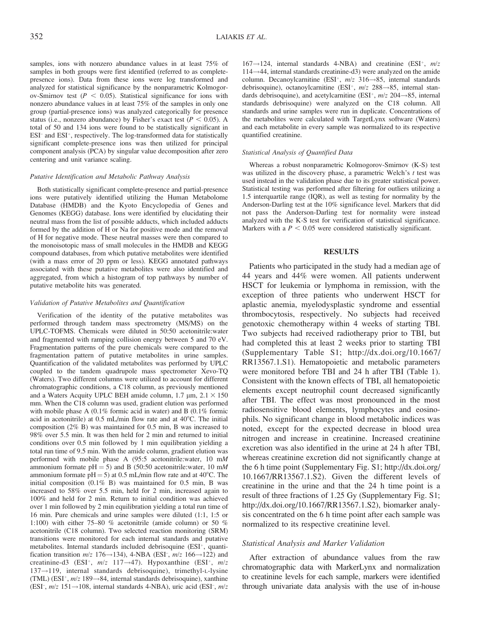samples, ions with nonzero abundance values in at least 75% of samples in both groups were first identified (referred to as completepresence ions). Data from these ions were log transformed and analyzed for statistical significance by the nonparametric Kolmogorov-Smirnov test ( $P < 0.05$ ). Statistical significance for ions with nonzero abundance values in at least 75% of the samples in only one group (partial-presence ions) was analyzed categorically for presence status (i.e., nonzero abundance) by Fisher's exact test ( $P < 0.05$ ). A total of 50 and 134 ions were found to be statistically significant in  $ESI<sup>-</sup>$  and  $ESI<sup>+</sup>$ , respectively. The log-transformed data for statistically significant complete-presence ions was then utilized for principal component analysis (PCA) by singular value decomposition after zero centering and unit variance scaling.

## Putative Identification and Metabolic Pathway Analysis

Both statistically significant complete-presence and partial-presence ions were putatively identified utilizing the Human Metabolome Database (HMDB) and the Kyoto Encyclopedia of Genes and Genomes (KEGG) database. Ions were identified by elucidating their neutral mass from the list of possible adducts, which included adducts formed by the addition of H or Na for positive mode and the removal of H for negative mode. These neutral masses were then compared to the monoisotopic mass of small molecules in the HMDB and KEGG compound databases, from which putative metabolites were identified (with a mass error of 20 ppm or less). KEGG annotated pathways associated with these putative metabolites were also identified and aggregated, from which a histogram of top pathways by number of putative metabolite hits was generated.

#### Validation of Putative Metabolites and Quantification

Verification of the identity of the putative metabolites was performed through tandem mass spectrometry (MS/MS) on the UPLC-TOFMS. Chemicals were diluted in 50:50 acetonitrile:water and fragmented with ramping collision energy between 5 and 70 eV. Fragmentation patterns of the pure chemicals were compared to the fragmentation pattern of putative metabolites in urine samples. Quantification of the validated metabolites was performed by UPLC coupled to the tandem quadrupole mass spectrometer Xevo-TQ (Waters). Two different columns were utilized to account for different chromatographic conditions, a C18 column, as previously mentioned and a Waters Acquity UPLC BEH amide column,  $1.7 \mu m$ ,  $2.1 \times 150$ mm. When the C18 column was used, gradient elution was performed with mobile phase A (0.1% formic acid in water) and B (0.1% formic acid in acetonitrile) at  $0.5$  mL/min flow rate and at  $40^{\circ}$ C. The initial composition (2% B) was maintained for 0.5 min, B was increased to 98% over 5.5 min. It was then held for 2 min and returned to initial conditions over 0.5 min followed by 1 min equilibration yielding a total run time of 9.5 min. With the amide column, gradient elution was performed with mobile phase A (95:5 acetonitrile:water, 10 mM ammonium formate  $pH = 5$ ) and B (50:50 acetonitrile:water, 10 mM ammonium formate  $pH = 5$ ) at 0.5 mL/min flow rate and at 40<sup>o</sup>C. The initial composition (0.1% B) was maintained for 0.5 min, B was increased to 58% over 5.5 min, held for 2 min, increased again to 100% and held for 2 min. Return to initial condition was achieved over 1 min followed by 2 min equilibration yielding a total run time of 16 min. Pure chemicals and urine samples were diluted (1:1, 1:5 or 1:100) with either 75–80 % acetonitrile (amide column) or 50 % acetonitrile (C18 column). Two selected reaction monitoring (SRM) transitions were monitored for each internal standards and putative metabolites. Internal standards included debrisoquine (ESI+, quantification transition  $m/z$  176 $\rightarrow$ 134), 4-NBA (ESI<sup>-</sup>,  $m/z$  166 $\rightarrow$ 122) and creatinine-d3 (ESI<sup>+</sup>,  $m/z$  117 $\rightarrow$ 47). Hypoxanthine (ESI<sup>+</sup>,  $m/z$  $137 \rightarrow 119$ , internal standards debrisoquine), trimethyl-L-lysine (TML) (ESI<sup>+</sup>,  $m/z$  189 $\rightarrow$ 84, internal standards debrisoquine), xanthine (ESI<sup>-</sup>,  $m/z$  151 $\rightarrow$ 108, internal standards 4-NBA), uric acid (ESI<sup>-</sup>,  $m/z$ 

 $167 \rightarrow 124$ , internal standards 4-NBA) and creatinine (ESI<sup>+</sup>, m/z  $114 \rightarrow 44$ , internal standards creatinine-d3) were analyzed on the amide column. Decanoylcarnitine (ESI<sup>+</sup>,  $m/z$  316 $\rightarrow$ 85, internal standards debrisoquine), octanoylcarnitine (ESI<sup>+</sup>,  $m/z$  288 $\rightarrow$ 85, internal standards debrisoquine), and acetylcarnitine (ESI<sup>+</sup>,  $m/z$  204 $\rightarrow$ 85, internal standards debrisoquine) were analyzed on the C18 column. All standards and urine samples were run in duplicate. Concentrations of the metabolites were calculated with TargetLynx software (Waters) and each metabolite in every sample was normalized to its respective quantified creatinine.

## Statistical Analysis of Quantified Data

Whereas a robust nonparametric Kolmogorov-Smirnov (K-S) test was utilized in the discovery phase, a parametric Welch's  $t$  test was used instead in the validation phase due to its greater statistical power. Statistical testing was performed after filtering for outliers utilizing a 1.5 interquartile range (IQR), as well as testing for normality by the Anderson-Darling test at the 10% significance level. Markers that did not pass the Anderson-Darling test for normality were instead analyzed with the K-S test for verification of statistical significance. Markers with a  $P < 0.05$  were considered statistically significant.

#### RESULTS

Patients who participated in the study had a median age of 44 years and 44% were women. All patients underwent HSCT for leukemia or lymphoma in remission, with the exception of three patients who underwent HSCT for aplastic anemia, myelodysplastic syndrome and essential thrombocytosis, respectively. No subjects had received genotoxic chemotherapy within 4 weeks of starting TBI. Two subjects had received radiotherapy prior to TBI, but had completed this at least 2 weeks prior to starting TBI (Supplementary Table S1; http://dx.doi.org/10.1667/ RR13567.1.S1). Hematopoietic and metabolic parameters were monitored before TBI and 24 h after TBI (Table 1). Consistent with the known effects of TBI, all hematopoietic elements except neutrophil count decreased significantly after TBI. The effect was most pronounced in the most radiosensitive blood elements, lymphocytes and eosinophils. No significant change in blood metabolic indices was noted, except for the expected decrease in blood urea nitrogen and increase in creatinine. Increased creatinine excretion was also identified in the urine at 24 h after TBI, whereas creatinine excretion did not significantly change at the 6 h time point (Supplementary Fig. S1; http://dx.doi.org/ 10.1667/RR13567.1.S2). Given the different levels of creatinine in the urine and that the 24 h time point is a result of three fractions of 1.25 Gy (Supplementary Fig. S1; http://dx.doi.org/10.1667/RR13567.1.S2), biomarker analysis concentrated on the 6 h time point after each sample was normalized to its respective creatinine level.

## Statistical Analysis and Marker Validation

After extraction of abundance values from the raw chromatographic data with MarkerLynx and normalization to creatinine levels for each sample, markers were identified through univariate data analysis with the use of in-house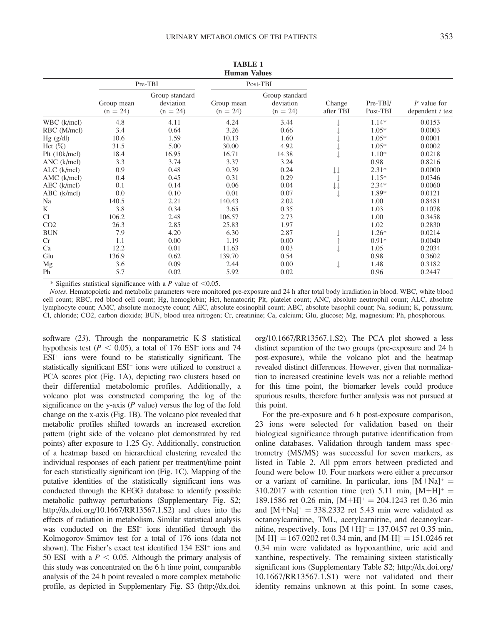| <b>Human Values</b> |                          |                                           |                          |                                           |                     |                      |                                   |  |
|---------------------|--------------------------|-------------------------------------------|--------------------------|-------------------------------------------|---------------------|----------------------|-----------------------------------|--|
|                     | Pre-TBI                  |                                           |                          | Post-TBI                                  |                     |                      |                                   |  |
|                     | Group mean<br>$(n = 24)$ | Group standard<br>deviation<br>$(n = 24)$ | Group mean<br>$(n = 24)$ | Group standard<br>deviation<br>$(n = 24)$ | Change<br>after TBI | Pre-TBI/<br>Post-TBI | P value for<br>dependent $t$ test |  |
| WBC (k/mcl)         | 4.8                      | 4.11                                      | 4.24                     | 3.44                                      |                     | $1.14*$              | 0.0153                            |  |
| RBC (M/mcl)         | 3.4                      | 0.64                                      | 3.26                     | 0.66                                      |                     | $1.05*$              | 0.0003                            |  |
| $Hg$ (g/dl)         | 10.6                     | 1.59                                      | 10.13                    | 1.60                                      |                     | $1.05*$              | 0.0001                            |  |
| Hct $(\%)$          | 31.5                     | 5.00                                      | 30.00                    | 4.92                                      |                     | $1.05*$              | 0.0002                            |  |
| Plt (10k/mcl)       | 18.4                     | 16.95                                     | 16.71                    | 14.38                                     |                     | $1.10*$              | 0.0218                            |  |
| ANC (k/mcl)         | 3.3                      | 3.74                                      | 3.37                     | 3.24                                      |                     | 0.98                 | 0.8216                            |  |
| $ALC$ ( $k/mcl$ )   | 0.9                      | 0.48                                      | 0.39                     | 0.24                                      | ↓↓                  | $2.31*$              | 0.0000                            |  |
| AMC (k/mcl)         | 0.4                      | 0.45                                      | 0.31                     | 0.29                                      |                     | $1.15*$              | 0.0346                            |  |
| AEC (k/mcl)         | 0.1                      | 0.14                                      | 0.06                     | 0.04                                      |                     | $2.34*$              | 0.0060                            |  |
| $ABC$ (k/mcl)       | 0.0                      | 0.10                                      | 0.01                     | 0.07                                      |                     | 1.89*                | 0.0121                            |  |
| Na                  | 140.5                    | 2.21                                      | 140.43                   | 2.02                                      |                     | 1.00                 | 0.8481                            |  |
| K                   | 3.8                      | 0.34                                      | 3.65                     | 0.35                                      |                     | 1.03                 | 0.1078                            |  |
| Cl                  | 106.2                    | 2.48                                      | 106.57                   | 2.73                                      |                     | 1.00                 | 0.3458                            |  |
| CO <sub>2</sub>     | 26.3                     | 2.85                                      | 25.83                    | 1.97                                      |                     | 1.02                 | 0.2830                            |  |
| <b>BUN</b>          | 7.9                      | 4.20                                      | 6.30                     | 2.87                                      |                     | $1.26*$              | 0.0214                            |  |
| Cr                  | 1.1                      | 0.00                                      | 1.19                     | 0.00                                      |                     | $0.91*$              | 0.0040                            |  |
| Ca                  | 12.2                     | 0.01                                      | 11.63                    | 0.03                                      |                     | 1.05                 | 0.2034                            |  |
| Glu                 | 136.9                    | 0.62                                      | 139.70                   | 0.54                                      |                     | 0.98                 | 0.3602                            |  |
| Mg                  | 3.6                      | 0.09                                      | 2.44                     | 0.00                                      |                     | 1.48                 | 0.3182                            |  |
| Ph                  | 5.7                      | 0.02                                      | 5.92                     | 0.02                                      |                     | 0.96                 | 0.2447                            |  |
|                     |                          |                                           |                          |                                           |                     |                      |                                   |  |

TABLE 1

\* Signifies statistical significance with a P value of  $< 0.05$ .

Notes. Hematopoietic and metabolic parameters were monitored pre-exposure and 24 h after total body irradiation in blood. WBC, white blood cell count; RBC, red blood cell count; Hg, hemoglobin; Hct, hematocrit; Plt, platelet count; ANC, absolute neutrophil count; ALC, absolute lymphocyte count; AMC, absolute monocyte count; AEC, absolute eosinophil count; ABC, absolute basophil count; Na, sodium; K, potassium; Cl, chloride; CO2, carbon dioxide; BUN, blood urea nitrogen; Cr, creatinine; Ca, calcium; Glu, glucose; Mg, magnesium; Ph, phosphorous.

software (23). Through the nonparametric K-S statistical hypothesis test ( $P < 0.05$ ), a total of 176 ESI<sup>–</sup> ions and 74  $ESI<sup>+</sup>$  ions were found to be statistically significant. The statistically significant  $ESI<sup>+</sup>$  ions were utilized to construct a PCA scores plot (Fig. 1A), depicting two clusters based on their differential metabolomic profiles. Additionally, a volcano plot was constructed comparing the log of the significance on the y-axis  $(P$  value) versus the log of the fold change on the x-axis (Fig. 1B). The volcano plot revealed that metabolic profiles shifted towards an increased excretion pattern (right side of the volcano plot demonstrated by red points) after exposure to 1.25 Gy. Additionally, construction of a heatmap based on hierarchical clustering revealed the individual responses of each patient per treatment/time point for each statistically significant ion (Fig. 1C). Mapping of the putative identities of the statistically significant ions was conducted through the KEGG database to identify possible metabolic pathway perturbations (Supplementary Fig. S2; http://dx.doi.org/10.1667/RR13567.1.S2) and clues into the effects of radiation in metabolism. Similar statistical analysis was conducted on the ESI– ions identified through the Kolmogorov-Smirnov test for a total of 176 ions (data not shown). The Fisher's exact test identified  $134$  ESI<sup> $+$ </sup> ions and 50 ESI<sup>–</sup> with a  $P < 0.05$ . Although the primary analysis of this study was concentrated on the 6 h time point, comparable analysis of the 24 h point revealed a more complex metabolic profile, as depicted in Supplementary Fig. S3 (http://dx.doi. org/10.1667/RR13567.1.S2). The PCA plot showed a less distinct separation of the two groups (pre-exposure and 24 h post-exposure), while the volcano plot and the heatmap revealed distinct differences. However, given that normalization to increased creatinine levels was not a reliable method for this time point, the biomarker levels could produce spurious results, therefore further analysis was not pursued at this point.

For the pre-exposure and 6 h post-exposure comparison, 23 ions were selected for validation based on their biological significance through putative identification from online databases. Validation through tandem mass spectrometry (MS/MS) was successful for seven markers, as listed in Table 2. All ppm errors between predicted and found were below 10. Four markers were either a precursor or a variant of carnitine. In particular, ions  $[M+Na]^+$ 310.2017 with retention time (ret) 5.11 min,  $[M+H]^+$  = 189.1586 ret 0.26 min,  $[M+H]$ <sup>+</sup> = 204.1243 ret 0.36 min and  $[M+Na]^+= 338.2332$  ret 5.43 min were validated as octanoylcarnitine, TML, acetylcarnitine, and decanoylcarnitine, respectively. Ions  $[M+H]$ <sup> $=$ </sup> 137.0457 ret 0.35 min,  $[M-H]$ <sup>–</sup> = 167.0202 ret 0.34 min, and  $[M-H]$ <sup>–</sup> = 151.0246 ret 0.34 min were validated as hypoxanthine, uric acid and xanthine, respectively. The remaining sixteen statistically significant ions (Supplementary Table S2; http://dx.doi.org/ 10.1667/RR13567.1.S1) were not validated and their identity remains unknown at this point. In some cases,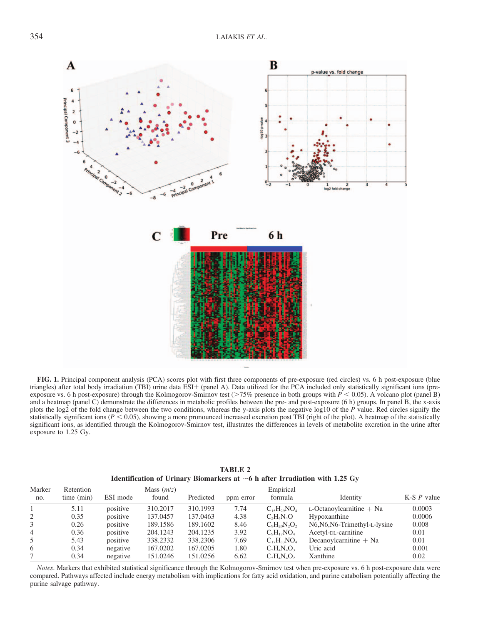

FIG. 1. Principal component analysis (PCA) scores plot with first three components of pre-exposure (red circles) vs. 6 h post-exposure (blue triangles) after total body irradiation (TBI) urine data ESI+ (panel A). Data utilized for the PCA included only statistically significant ions (preexposure vs. 6 h post-exposure) through the Kolmogorov-Smirnov test (>75% presence in both groups with  $P < 0.05$ ). A volcano plot (panel B) and a heatmap (panel C) demonstrate the differences in metabolic profiles between the pre- and post-exposure (6 h) groups. In panel B, the x-axis plots the log2 of the fold change between the two conditions, whereas the y-axis plots the negative log10 of the P value. Red circles signify the statistically significant ions ( $P < 0.05$ ), showing a more pronounced increased excretion post TBI (right of the plot). A heatmap of the statistically significant ions, as identified through the Kolmogorov-Smirnov test, illustrates the differences in levels of metabolite excretion in the urine after exposure to 1.25 Gy.

|                | Identification of Urinary Biomarkers at $\sim$ 6 h after Irradiation with 1.25 Gy |          |                       |           |           |                      |                               |               |
|----------------|-----------------------------------------------------------------------------------|----------|-----------------------|-----------|-----------|----------------------|-------------------------------|---------------|
| Marker<br>no.  | Retention<br>time (min)                                                           | ESI mode | Mass $(m/z)$<br>found | Predicted | ppm error | Empirical<br>formula | Identity                      | K-S $P$ value |
|                | 5.11                                                                              | positive | 310.2017              | 310.1993  | 7.74      | $C_{15}H_{29}NO_{4}$ | $L$ -Octanoylcarnitine $+$ Na | 0.0003        |
| 2              | 0.35                                                                              | positive | 137.0457              | 137.0463  | 4.38      | $C_5H_4N_4O$         | Hypoxanthine                  | 0.0006        |
| 3              | 0.26                                                                              | positive | 189.1586              | 189.1602  | 8.46      | $C_9H_{20}N_2O_2$    | N6, N6, N6-Trimethyl-L-lysine | 0.008         |
| $\overline{4}$ | 0.36                                                                              | positive | 204.1243              | 204.1235  | 3.92      | $C_9H_{17}NO_4$      | Acetyl-DL-carnitine           | 0.01          |
| 5              | 5.43                                                                              | positive | 338.2332              | 338.2306  | 7.69      | $C_{17}H_{33}NO_4$   | Decanovlcarnitine $+$ Na      | 0.01          |
| 6              | 0.34                                                                              | negative | 167.0202              | 167,0205  | 1.80      | $C_5H_4N_4O_3$       | Uric acid                     | 0.001         |
|                | 0.34                                                                              | negative | 151.0246              | 151.0256  | 6.62      | $C_5H_4N_4O_2$       | Xanthine                      | 0.02          |

TABLE 2

Notes. Markers that exhibited statistical significance through the Kolmogorov-Smirnov test when pre-exposure vs. 6 h post-exposure data were compared. Pathways affected include energy metabolism with implications for fatty acid oxidation, and purine catabolism potentially affecting the purine salvage pathway.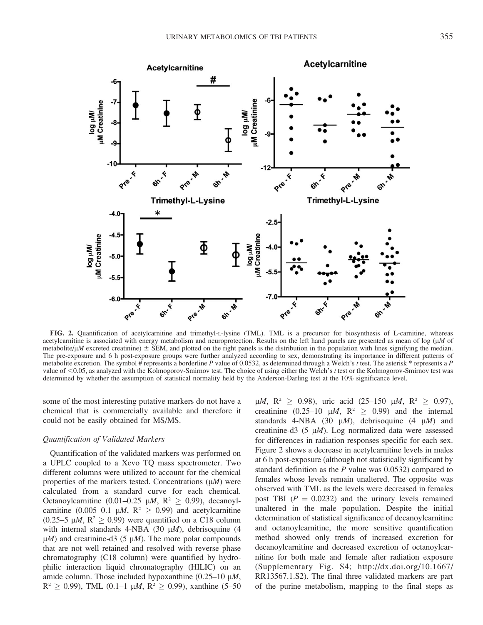

FIG. 2. Quantification of acetylcarnitine and trimethyl-L-lysine (TML). TML is a precursor for biosynthesis of L-carnitine, whereas acetylcarnitine is associated with energy metabolism and neuroprotection. Results on the left hand panels are presented as mean of log ( $\mu$ M of metabolite/ $\mu$ M excreted creatinine)  $\pm$  SEM, and plotted on the right panels is the distribution in the population with lines signifying the median. The pre-exposure and 6 h post-exposure groups were further analyzed according to sex, demonstrating its importance in different patterns of metabolite excretion. The symbol # represents a borderline P value of 0.0532, as determined through a Welch's t test. The asterisk \* represents a P value of ,0.05, as analyzed with the Kolmogorov-Smirnov test. The choice of using either the Welch's t test or the Kolmogorov-Smirnov test was determined by whether the assumption of statistical normality held by the Anderson-Darling test at the 10% significance level.

some of the most interesting putative markers do not have a chemical that is commercially available and therefore it could not be easily obtained for MS/MS.

## Quantification of Validated Markers

Quantification of the validated markers was performed on a UPLC coupled to a Xevo TQ mass spectrometer. Two different columns were utilized to account for the chemical properties of the markers tested. Concentrations  $(\mu M)$  were calculated from a standard curve for each chemical. Octanoylcarnitine (0.01–0.25  $\mu$ M, R<sup>2</sup>  $\geq$  0.99), decanoylcarnitine (0.005–0.1  $\mu$ M, R<sup>2</sup>  $\geq$  0.99) and acetylcarnitine  $(0.25-5 \mu M, R^2 \ge 0.99)$  were quantified on a C18 column with internal standards 4-NBA (30  $\mu$ *M*), debrisoquine (4  $\mu$ M) and creatinine-d3 (5  $\mu$ M). The more polar compounds that are not well retained and resolved with reverse phase chromatography (C18 column) were quantified by hydrophilic interaction liquid chromatography (HILIC) on an amide column. Those included hypoxanthine  $(0.25-10 \mu M,$  $R^2 \ge 0.99$ ), TML (0.1–1  $\mu$ *M*,  $R^2 \ge 0.99$ ), xanthine (5–50

 $\mu$ *M*, R<sup>2</sup>  $\geq$  0.98), uric acid (25–150  $\mu$ *M*, R<sup>2</sup>  $\geq$  0.97), creatinine (0.25–10  $\mu$ M, R<sup>2</sup>  $\geq$  0.99) and the internal standards 4-NBA (30  $\mu$ M), debrisoquine (4  $\mu$ M) and creatinine-d3  $(5 \mu M)$ . Log normalized data were assessed for differences in radiation responses specific for each sex. Figure 2 shows a decrease in acetylcarnitine levels in males at 6 h post-exposure (although not statistically significant by standard definition as the P value was 0.0532) compared to females whose levels remain unaltered. The opposite was observed with TML as the levels were decreased in females post TBI  $(P = 0.0232)$  and the urinary levels remained unaltered in the male population. Despite the initial determination of statistical significance of decanoylcarnitine and octanoylcarnitine, the more sensitive quantification method showed only trends of increased excretion for decanoylcarnitine and decreased excretion of octanoylcarnitine for both male and female after radiation exposure (Supplementary Fig. S4; http://dx.doi.org/10.1667/ RR13567.1.S2). The final three validated markers are part of the purine metabolism, mapping to the final steps as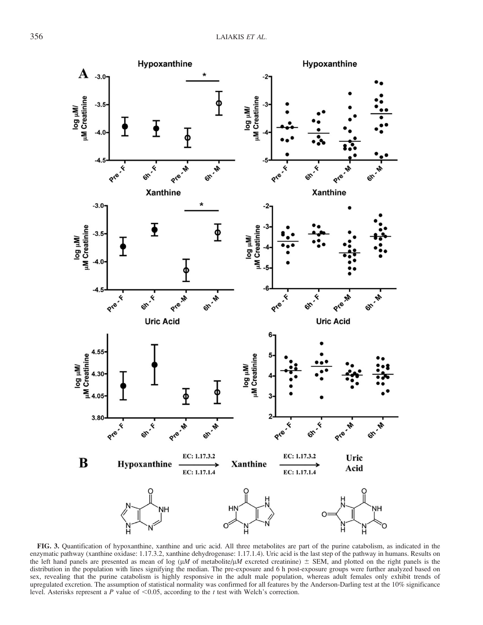

FIG. 3. Quantification of hypoxanthine, xanthine and uric acid. All three metabolites are part of the purine catabolism, as indicated in the enzymatic pathway (xanthine oxidase: 1.17.3.2, xanthine dehydrogenase: 1.17.1.4). Uric acid is the last step of the pathway in humans. Results on the left hand panels are presented as mean of log ( $\mu$ M of metabolite/ $\mu$ M excreted creatinine)  $\pm$  SEM, and plotted on the right panels is the distribution in the population with lines signifying the median. The pre-exposure and 6 h post-exposure groups were further analyzed based on sex, revealing that the purine catabolism is highly responsive in the adult male population, whereas adult females only exhibit trends of upregulated excretion. The assumption of statistical normality was confirmed for all features by the Anderson-Darling test at the 10% significance level. Asterisks represent a P value of  $\leq$ 0.05, according to the t test with Welch's correction.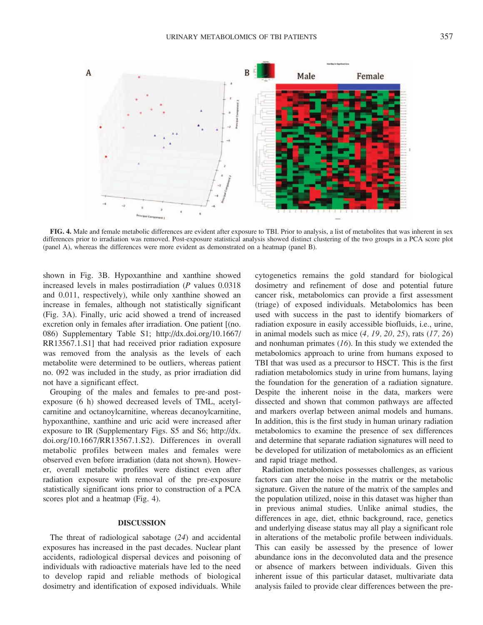

FIG. 4. Male and female metabolic differences are evident after exposure to TBI. Prior to analysis, a list of metabolites that was inherent in sex differences prior to irradiation was removed. Post-exposure statistical analysis showed distinct clustering of the two groups in a PCA score plot (panel A), whereas the differences were more evident as demonstrated on a heatmap (panel B).

shown in Fig. 3B. Hypoxanthine and xanthine showed increased levels in males postirradiation (P values 0.0318 and 0.011, respectively), while only xanthine showed an increase in females, although not statistically significant (Fig. 3A). Finally, uric acid showed a trend of increased excretion only in females after irradiation. One patient [(no. 086) Supplementary Table S1; http://dx.doi.org/10.1667/ RR13567.1.S1] that had received prior radiation exposure was removed from the analysis as the levels of each metabolite were determined to be outliers, whereas patient no. 092 was included in the study, as prior irradiation did not have a significant effect.

Grouping of the males and females to pre-and postexposure (6 h) showed decreased levels of TML, acetylcarnitine and octanoylcarnitine, whereas decanoylcarnitine, hypoxanthine, xanthine and uric acid were increased after exposure to IR (Supplementary Figs. S5 and S6; http://dx. doi.org/10.1667/RR13567.1.S2). Differences in overall metabolic profiles between males and females were observed even before irradiation (data not shown). However, overall metabolic profiles were distinct even after radiation exposure with removal of the pre-exposure statistically significant ions prior to construction of a PCA scores plot and a heatmap (Fig. 4).

## DISCUSSION

The threat of radiological sabotage (24) and accidental exposures has increased in the past decades. Nuclear plant accidents, radiological dispersal devices and poisoning of individuals with radioactive materials have led to the need to develop rapid and reliable methods of biological dosimetry and identification of exposed individuals. While cytogenetics remains the gold standard for biological dosimetry and refinement of dose and potential future cancer risk, metabolomics can provide a first assessment (triage) of exposed individuals. Metabolomics has been used with success in the past to identify biomarkers of radiation exposure in easily accessible biofluids, i.e., urine, in animal models such as mice  $(4, 19, 20, 25)$ , rats  $(17, 26)$ and nonhuman primates  $(16)$ . In this study we extended the metabolomics approach to urine from humans exposed to TBI that was used as a precursor to HSCT. This is the first radiation metabolomics study in urine from humans, laying the foundation for the generation of a radiation signature. Despite the inherent noise in the data, markers were dissected and shown that common pathways are affected and markers overlap between animal models and humans. In addition, this is the first study in human urinary radiation metabolomics to examine the presence of sex differences and determine that separate radiation signatures will need to be developed for utilization of metabolomics as an efficient and rapid triage method.

Radiation metabolomics possesses challenges, as various factors can alter the noise in the matrix or the metabolic signature. Given the nature of the matrix of the samples and the population utilized, noise in this dataset was higher than in previous animal studies. Unlike animal studies, the differences in age, diet, ethnic background, race, genetics and underlying disease status may all play a significant role in alterations of the metabolic profile between individuals. This can easily be assessed by the presence of lower abundance ions in the deconvoluted data and the presence or absence of markers between individuals. Given this inherent issue of this particular dataset, multivariate data analysis failed to provide clear differences between the pre-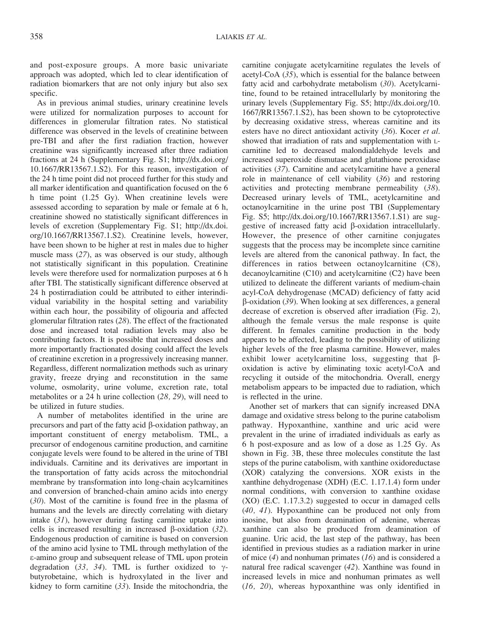and post-exposure groups. A more basic univariate approach was adopted, which led to clear identification of radiation biomarkers that are not only injury but also sex specific.

As in previous animal studies, urinary creatinine levels were utilized for normalization purposes to account for differences in glomerular filtration rates. No statistical difference was observed in the levels of creatinine between pre-TBI and after the first radiation fraction, however creatinine was significantly increased after three radiation fractions at 24 h (Supplementary Fig. S1; http://dx.doi.org/ 10.1667/RR13567.1.S2). For this reason, investigation of the 24 h time point did not proceed further for this study and all marker identification and quantification focused on the 6 h time point (1.25 Gy). When creatinine levels were assessed according to separation by male or female at 6 h, creatinine showed no statistically significant differences in levels of excretion (Supplementary Fig. S1; http://dx.doi. org/10.1667/RR13567.1.S2). Creatinine levels, however, have been shown to be higher at rest in males due to higher muscle mass (27), as was observed is our study, although not statistically significant in this population. Creatinine levels were therefore used for normalization purposes at 6 h after TBI. The statistically significant difference observed at 24 h postirradiation could be attributed to either interindividual variability in the hospital setting and variability within each hour, the possibility of oligouria and affected glomerular filtration rates (28). The effect of the fractionated dose and increased total radiation levels may also be contributing factors. It is possible that increased doses and more importantly fractionated dosing could affect the levels of creatinine excretion in a progressively increasing manner. Regardless, different normalization methods such as urinary gravity, freeze drying and reconstitution in the same volume, osmolarity, urine volume, excretion rate, total metabolites or a 24 h urine collection (28, 29), will need to be utilized in future studies.

A number of metabolites identified in the urine are precursors and part of the fatty acid  $\beta$ -oxidation pathway, an important constituent of energy metabolism. TML, a precursor of endogenous carnitine production, and carnitine conjugate levels were found to be altered in the urine of TBI individuals. Carnitine and its derivatives are important in the transportation of fatty acids across the mitochondrial membrane by transformation into long-chain acylcarnitines and conversion of branched-chain amino acids into energy (30). Most of the carnitine is found free in the plasma of humans and the levels are directly correlating with dietary intake  $(31)$ , however during fasting carnitine uptake into cells is increased resulting in increased  $\beta$ -oxidation (32). Endogenous production of carnitine is based on conversion of the amino acid lysine to TML through methylation of the e-amino group and subsequent release of TML upon protein degradation (33, 34). TML is further oxidized to  $\gamma$ butyrobetaine, which is hydroxylated in the liver and kidney to form carnitine  $(33)$ . Inside the mitochondria, the carnitine conjugate acetylcarnitine regulates the levels of acetyl-CoA (35), which is essential for the balance between fatty acid and carbohydrate metabolism (30). Acetylcarnitine, found to be retained intracellularly by monitoring the urinary levels (Supplementary Fig. S5; http://dx.doi.org/10. 1667/RR13567.1.S2), has been shown to be cytoprotective by decreasing oxidative stress, whereas carnitine and its esters have no direct antioxidant activity (36). Kocer et al. showed that irradiation of rats and supplementation with Lcarnitine led to decreased malondialdehyde levels and increased superoxide dismutase and glutathione peroxidase activities (37). Carnitine and acetylcarnitine have a general role in maintenance of cell viability (36) and restoring activities and protecting membrane permeability (38). Decreased urinary levels of TML, acetylcarnitine and octanoylcarnitine in the urine post TBI (Supplementary Fig. S5; http://dx.doi.org/10.1667/RR13567.1.S1) are suggestive of increased fatty acid b-oxidation intracellularly. However, the presence of other carnitine conjugates suggests that the process may be incomplete since carnitine levels are altered from the canonical pathway. In fact, the differences in ratios between octanoylcarnitine (C8), decanoylcarnitine (C10) and acetylcarnitine (C2) have been utilized to delineate the different variants of medium-chain acyl-CoA dehydrogenase (MCAD) deficiency of fatty acid  $\beta$ -oxidation (39). When looking at sex differences, a general decrease of excretion is observed after irradiation (Fig. 2), although the female versus the male response is quite different. In females carnitine production in the body appears to be affected, leading to the possibility of utilizing higher levels of the free plasma carnitine. However, males exhibit lower acetylcarnitine loss, suggesting that  $\beta$ oxidation is active by eliminating toxic acetyl-CoA and recycling it outside of the mitochondria. Overall, energy metabolism appears to be impacted due to radiation, which is reflected in the urine.

Another set of markers that can signify increased DNA damage and oxidative stress belong to the purine catabolism pathway. Hypoxanthine, xanthine and uric acid were prevalent in the urine of irradiated individuals as early as 6 h post-exposure and as low of a dose as 1.25 Gy. As shown in Fig. 3B, these three molecules constitute the last steps of the purine catabolism, with xanthine oxidoreductase (XOR) catalyzing the conversions. XOR exists in the xanthine dehydrogenase (XDH) (E.C. 1.17.1.4) form under normal conditions, with conversion to xanthine oxidase (XO) (E.C. 1.17.3.2) suggested to occur in damaged cells (40, 41). Hypoxanthine can be produced not only from inosine, but also from deamination of adenine, whereas xanthine can also be produced from deamination of guanine. Uric acid, the last step of the pathway, has been identified in previous studies as a radiation marker in urine of mice  $(4)$  and nonhuman primates  $(16)$  and is considered a natural free radical scavenger (42). Xanthine was found in increased levels in mice and nonhuman primates as well (16, 20), whereas hypoxanthine was only identified in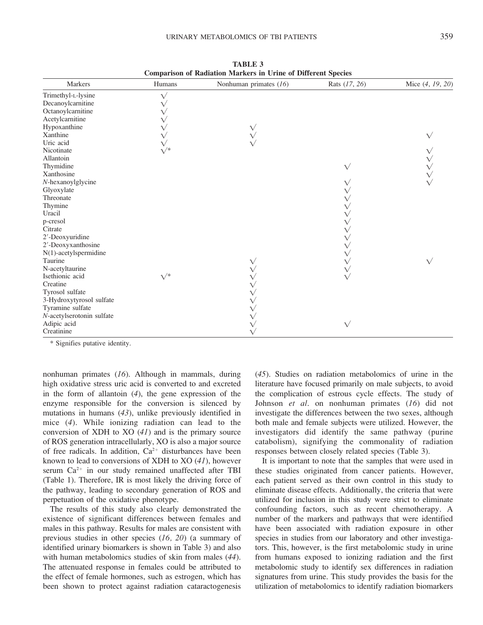| Comparison of Radiation Markers in Urine of Different Species<br>Markers<br>Humans<br>Nonhuman primates (16)<br>Rats (17, 26) |                 |  |           |                  |  |  |  |
|-------------------------------------------------------------------------------------------------------------------------------|-----------------|--|-----------|------------------|--|--|--|
|                                                                                                                               |                 |  |           | Mice (4, 19, 20) |  |  |  |
| Trimethyl-L-lysine                                                                                                            | $\sqrt{}$       |  |           |                  |  |  |  |
| Decanoylcarnitine                                                                                                             |                 |  |           |                  |  |  |  |
| Octanoylcarnitine                                                                                                             |                 |  |           |                  |  |  |  |
| Acetylcarnitine                                                                                                               |                 |  |           |                  |  |  |  |
| Hypoxanthine                                                                                                                  |                 |  |           |                  |  |  |  |
| Xanthine<br>Uric acid                                                                                                         |                 |  |           |                  |  |  |  |
|                                                                                                                               |                 |  |           |                  |  |  |  |
| Nicotinate                                                                                                                    | $\mathcal{V}^*$ |  |           |                  |  |  |  |
| Allantoin                                                                                                                     |                 |  |           |                  |  |  |  |
| Thymidine                                                                                                                     |                 |  | $\sqrt{}$ |                  |  |  |  |
| Xanthosine                                                                                                                    |                 |  |           |                  |  |  |  |
| N-hexanoylglycine                                                                                                             |                 |  |           |                  |  |  |  |
| Glyoxylate                                                                                                                    |                 |  |           |                  |  |  |  |
| Threonate                                                                                                                     |                 |  |           |                  |  |  |  |
| Thymine                                                                                                                       |                 |  |           |                  |  |  |  |
| Uracil                                                                                                                        |                 |  |           |                  |  |  |  |
| p-cresol                                                                                                                      |                 |  |           |                  |  |  |  |
| Citrate                                                                                                                       |                 |  |           |                  |  |  |  |
| 2'-Deoxyuridine                                                                                                               |                 |  |           |                  |  |  |  |
| 2'-Deoxyxanthosine                                                                                                            |                 |  |           |                  |  |  |  |
| $N(1)$ -acetylspermidine                                                                                                      |                 |  |           |                  |  |  |  |
| Taurine                                                                                                                       |                 |  |           | $\sqrt{}$        |  |  |  |
| N-acetyltaurine                                                                                                               |                 |  |           |                  |  |  |  |
| Isethionic acid                                                                                                               | $\mathcal{V}^*$ |  |           |                  |  |  |  |
| Creatine                                                                                                                      |                 |  |           |                  |  |  |  |
| Tyrosol sulfate                                                                                                               |                 |  |           |                  |  |  |  |
| 3-Hydroxytyrosol sulfate                                                                                                      |                 |  |           |                  |  |  |  |
| Tyramine sulfate                                                                                                              |                 |  |           |                  |  |  |  |
| N-acetylserotonin sulfate                                                                                                     |                 |  |           |                  |  |  |  |
| Adipic acid<br>Creatinine                                                                                                     |                 |  | $\sqrt{}$ |                  |  |  |  |
|                                                                                                                               |                 |  |           |                  |  |  |  |

TABLE 3 Comparison of Radiation Markers in Urine of Different Species

\* Signifies putative identity.

nonhuman primates (16). Although in mammals, during high oxidative stress uric acid is converted to and excreted in the form of allantoin  $(4)$ , the gene expression of the enzyme responsible for the conversion is silenced by mutations in humans (43), unlike previously identified in mice (4). While ionizing radiation can lead to the conversion of XDH to XO (41) and is the primary source of ROS generation intracellularly, XO is also a major source of free radicals. In addition,  $Ca^{2+}$  disturbances have been known to lead to conversions of XDH to XO (41), however serum  $Ca^{2+}$  in our study remained unaffected after TBI (Table 1). Therefore, IR is most likely the driving force of the pathway, leading to secondary generation of ROS and perpetuation of the oxidative phenotype.

The results of this study also clearly demonstrated the existence of significant differences between females and males in this pathway. Results for males are consistent with previous studies in other species (16, 20) (a summary of identified urinary biomarkers is shown in Table 3) and also with human metabolomics studies of skin from males (44). The attenuated response in females could be attributed to the effect of female hormones, such as estrogen, which has been shown to protect against radiation cataractogenesis (45). Studies on radiation metabolomics of urine in the literature have focused primarily on male subjects, to avoid the complication of estrous cycle effects. The study of Johnson et al. on nonhuman primates (16) did not investigate the differences between the two sexes, although both male and female subjects were utilized. However, the investigators did identify the same pathway (purine catabolism), signifying the commonality of radiation responses between closely related species (Table 3).

It is important to note that the samples that were used in these studies originated from cancer patients. However, each patient served as their own control in this study to eliminate disease effects. Additionally, the criteria that were utilized for inclusion in this study were strict to eliminate confounding factors, such as recent chemotherapy. A number of the markers and pathways that were identified have been associated with radiation exposure in other species in studies from our laboratory and other investigators. This, however, is the first metabolomic study in urine from humans exposed to ionizing radiation and the first metabolomic study to identify sex differences in radiation signatures from urine. This study provides the basis for the utilization of metabolomics to identify radiation biomarkers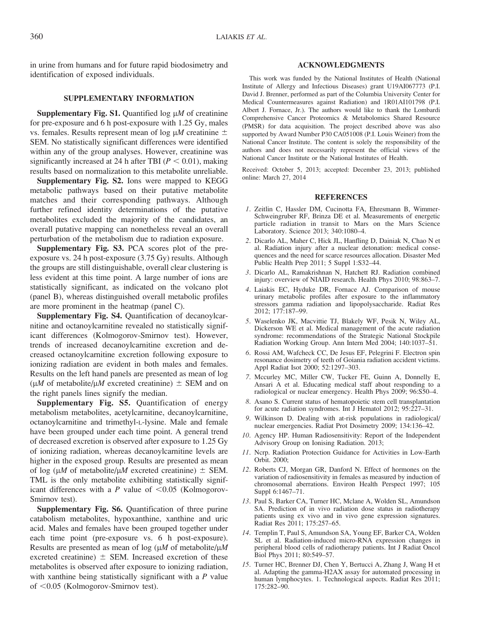in urine from humans and for future rapid biodosimetry and identification of exposed individuals.

## SUPPLEMENTARY INFORMATION

Supplementary Fig. S1. Quantified log  $\mu$ *M* of creatinine for pre-exposure and 6 h post-exposure with 1.25 Gy, males vs. females. Results represent mean of log  $\mu$ M creatinine  $\pm$ SEM. No statistically significant differences were identified within any of the group analyses. However, creatinine was significantly increased at 24 h after TBI ( $P < 0.01$ ), making results based on normalization to this metabolite unreliable.

Supplementary Fig. S2. Ions were mapped to KEGG metabolic pathways based on their putative metabolite matches and their corresponding pathways. Although further refined identity determinations of the putative metabolites excluded the majority of the candidates, an overall putative mapping can nonetheless reveal an overall perturbation of the metabolism due to radiation exposure.

Supplementary Fig. S3. PCA scores plot of the preexposure vs. 24 h post-exposure (3.75 Gy) results. Although the groups are still distinguishable, overall clear clustering is less evident at this time point. A large number of ions are statistically significant, as indicated on the volcano plot (panel B), whereas distinguished overall metabolic profiles are more prominent in the heatmap (panel C).

Supplementary Fig. S4. Quantification of decanoylcarnitine and octanoylcarnitine revealed no statistically significant differences (Kolmogorov-Smirnov test). However, trends of increased decanoylcarnitine excretion and decreased octanoylcarnitine excretion following exposure to ionizing radiation are evident in both males and females. Results on the left hand panels are presented as mean of log ( $\mu$ M of metabolite/ $\mu$ M excreted creatinine)  $\pm$  SEM and on the right panels lines signify the median.

Supplementary Fig. S5. Quantification of energy metabolism metabolites, acetylcarnitine, decanoylcarnitine, octanoylcarnitine and trimethyl-L-lysine. Male and female have been grouped under each time point. A general trend of decreased excretion is observed after exposure to 1.25 Gy of ionizing radiation, whereas decanoylcarnitine levels are higher in the exposed group. Results are presented as mean of log ( $\mu$ M of metabolite/ $\mu$ M excreted creatinine)  $\pm$  SEM. TML is the only metabolite exhibiting statistically significant differences with a P value of  $\leq 0.05$  (Kolmogorov-Smirnov test).

Supplementary Fig. S6. Quantification of three purine catabolism metabolites, hypoxanthine, xanthine and uric acid. Males and females have been grouped together under each time point (pre-exposure vs. 6 h post-exposure). Results are presented as mean of log  $(\mu M)$  of metabolite/ $\mu$ M excreted creatinine)  $\pm$  SEM. Increased excretion of these metabolites is observed after exposure to ionizing radiation, with xanthine being statistically significant with a  $P$  value of  $< 0.05$  (Kolmogorov-Smirnov test).

## ACKNOWLEDGMENTS

This work was funded by the National Institutes of Health (National Institute of Allergy and Infectious Diseases) grant U19AI067773 (P.I. David J. Brenner, performed as part of the Columbia University Center for Medical Countermeasures against Radiation) and 1R01AI101798 (P.I. Albert J. Fornace, Jr.). The authors would like to thank the Lombardi Comprehensive Cancer Proteomics & Metabolomics Shared Resource (PMSR) for data acquisition. The project described above was also supported by Award Number P30 CA051008 (P.I. Louis Weiner) from the National Cancer Institute. The content is solely the responsibility of the authors and does not necessarily represent the official views of the National Cancer Institute or the National Institutes of Health.

Received: October 5, 2013; accepted: December 23, 2013; published online: March 27, 2014

#### **REFERENCES**

- 1. Zeitlin C, Hassler DM, Cucinotta FA, Ehresmann B, Wimmer-Schweingruber RF, Brinza DE et al. Measurements of energetic particle radiation in transit to Mars on the Mars Science Laboratory. Science 2013; 340:1080–4.
- 2. Dicarlo AL, Maher C, Hick JL, Hanfling D, Dainiak N, Chao N et al. Radiation injury after a nuclear detonation: medical consequences and the need for scarce resources allocation. Disaster Med Public Health Prep 2011; 5 Suppl 1:S32–44.
- 3. Dicarlo AL, Ramakrishnan N, Hatchett RJ. Radiation combined injury: overview of NIAID research. Health Phys 2010; 98:863–7.
- 4. Laiakis EC, Hyduke DR, Fornace AJ. Comparison of mouse urinary metabolic profiles after exposure to the inflammatory stressors gamma radiation and lipopolysaccharide. Radiat Res 2012; 177:187–99.
- 5. Waselenko JK, Macvittie TJ, Blakely WF, Pesik N, Wiley AL, Dickerson WE et al. Medical management of the acute radiation syndrome: recommendations of the Strategic National Stockpile Radiation Working Group. Ann Intern Med 2004; 140:1037–51.
- 6. Rossi AM, Wafcheck CC, De Jesus EF, Pelegrini F. Electron spin resonance dosimetry of teeth of Goiania radiation accident victims. Appl Radiat Isot 2000; 52:1297–303.
- 7. Mccurley MC, Miller CW, Tucker FE, Guinn A, Donnelly E, Ansari A et al. Educating medical staff about responding to a radiological or nuclear emergency. Health Phys 2009; 96:S50–4.
- 8. Asano S. Current status of hematopoietic stem cell transplantation for acute radiation syndromes. Int J Hematol 2012; 95:227–31.
- 9. Wilkinson D. Dealing with at-risk populations in radiological/ nuclear emergencies. Radiat Prot Dosimetry 2009; 134:136–42.
- 10. Agency HP. Human Radiosensitivity: Report of the Independent Advisory Group on Ionising Radiation. 2013;
- 11. Ncrp. Radiation Protection Guidance for Activities in Low-Earth Orbit. 2000;
- 12. Roberts CJ, Morgan GR, Danford N. Effect of hormones on the variation of radiosensitivity in females as measured by induction of chromosomal aberrations. Environ Health Perspect 1997; 105 Suppl 6:1467–71.
- 13. Paul S, Barker CA, Turner HC, Mclane A, Wolden SL, Amundson SA. Prediction of in vivo radiation dose status in radiotherapy patients using ex vivo and in vivo gene expression signatures. Radiat Res 2011; 175:257–65.
- 14. Templin T, Paul S, Amundson SA, Young EF, Barker CA, Wolden SL et al. Radiation-induced micro-RNA expression changes in peripheral blood cells of radiotherapy patients. Int J Radiat Oncol Biol Phys 2011; 80:549–57.
- 15. Turner HC, Brenner DJ, Chen Y, Bertucci A, Zhang J, Wang H et al. Adapting the gamma-H2AX assay for automated processing in human lymphocytes. 1. Technological aspects. Radiat Res 2011; 175:282–90.